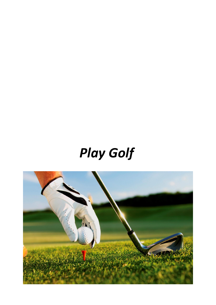# *Play Golf*

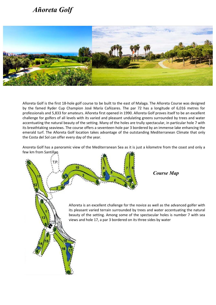## *Añoreta Golf*



Añoreta Golf is the first 18-hole golf course to be built to the east of Malaga. The Añoreta Course was designed by the famed Ryder Cup Champion José María Cañizares. The par 72 has a longitude of 6,016 metres for professionals and 5,833 for amateurs. Añoreta first opened in 1990. Añoreta Golf proves itself to be an excellent challenge for golfers of all levels with its varied and pleasant undulating greens surrounded by trees and water accentuating the natural beauty of the setting. Many of the holes are trully spectacular, in particular hole 7 with its breathtaking seaviews. The course offers a seventeen-hole par 3 bordered by an immense lake enhancing the emerald turf. The Añoreta Golf location takes advantage of the outstanding Mediterranean Climate that only the Costa del Sol can offer every day of the year.

Anoreta Golf has a panoramic view of the Mediterranean Sea as it is just a kilometre from the coast and only a few km from Santillan

> Añoreta is an excellent challenge for the novice as well as the advanced golfer with its pleasant varied terrain surrounded by trees and water accentuating the natural beauty of the setting. Among some of the spectacular holes is number 7 with sea views and hole 17, a par 3 bordered on its three sides by water

 *Course Map*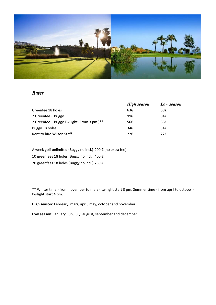

#### *Rates*

|                                            | <b>High season</b> | Low season |
|--------------------------------------------|--------------------|------------|
| Greenfee 18 holes                          | 63€                | 58€        |
| 2 Greenfee + Buggy                         | 99€                | 84€        |
| 2 Greenfee + Buggy Twilight (From 3 pm.)** | 56€                | 56€        |
| Buggy 18 holes                             | 34E                | 34€        |
| Rent to hire Wilson Staff                  | 22€                | 22€        |

A week golf unlimited (Buggy no incl.) 200 € (no extra fee)

10 greenfees 18 holes (Buggy no incl.) 400 €

20 greenfees 18 holes (Buggy no incl.) 780 €

\*\* Winter time - from november to marz - twilight start 3 pm. Summer time - from april to october twilight start 4 pm.

**High season:** Febreary, marz, april, may, october and november.

**Low season**: January, jun, july, august, september and december.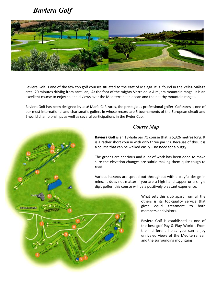## *Baviera Golf*

CLUBHOUS

**DRIVING RANGE** 



Baviera Golf is one of the few top golf courses situated to the east of Málaga. It is found in the Vélez-Málaga area, 20 minutes drivibg from santillan, At the foot of the mighty Sierra de la Almijara mountain range. It is an excellent course to enjoy splendid views over the Mediterranean ocean and the nearby mountain ranges.

Baviera Golf has been designed by José María Cañizares, the prestigious professional golfer. Cañizares is one of our most international and charismatic golfers in whose record are 5 tournaments of the European circuit and 2 world championships as well as several participations in the Ryder Cup.

### *Course Map*

**Baviera Golf** is an 18-hole par 71 course that is 5,326 metres long. It is a rather short course with only three par 5's. Because of this, it is a course that can be walked easily – no need for a buggy!

The greens are spacious and a lot of work has been done to make sure the elevation changes are subtle making them quite tough to read.

Various hazards are spread out throughout with a playful design in mind. It does not matter if you are a high handicapper or a single digit golfer, this course will be a positively pleasant experience.

> What sets this club apart from all the others is its top-quality service that gives equal treatment to both members and visitors.

> Baviera Golf is established as one of the best golf Pay & Play World . From their different holes you can enjoy unrivaled views of the Mediterranean and the surrounding mountains.